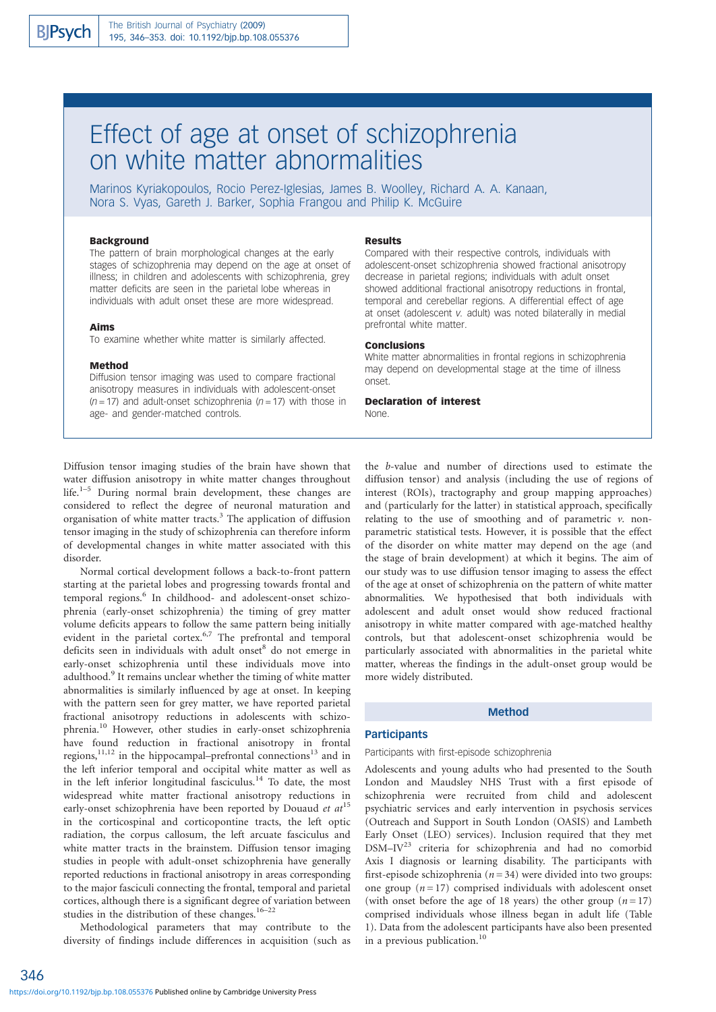# Effect of age at onset of schizophrenia on white matter abnormalities

Marinos Kyriakopoulos, Rocio Perez-Iglesias, James B. Woolley, Richard A. A. Kanaan, Nora S. Vyas, Gareth J. Barker, Sophia Frangou and Philip K. McGuire

## Background

The pattern of brain morphological changes at the early stages of schizophrenia may depend on the age at onset of illness; in children and adolescents with schizophrenia, grey matter deficits are seen in the parietal lobe whereas in individuals with adult onset these are more widespread.

## Aims

To examine whether white matter is similarly affected.

## Method

Diffusion tensor imaging was used to compare fractional anisotropy measures in individuals with adolescent-onset  $(n = 17)$  and adult-onset schizophrenia  $(n = 17)$  with those in age- and gender-matched controls.

#### Results

Compared with their respective controls, individuals with adolescent-onset schizophrenia showed fractional anisotropy decrease in parietal regions; individuals with adult onset showed additional fractional anisotropy reductions in frontal, temporal and cerebellar regions. A differential effect of age at onset (adolescent v. adult) was noted bilaterally in medial prefrontal white matter.

#### Conclusions

White matter abnormalities in frontal regions in schizophrenia may depend on developmental stage at the time of illness onset.

## Declaration of interest

None.

Diffusion tensor imaging studies of the brain have shown that water diffusion anisotropy in white matter changes throughout life.<sup>1–5</sup> During normal brain development, these changes are considered to reflect the degree of neuronal maturation and organisation of white matter tracts.<sup>3</sup> The application of diffusion tensor imaging in the study of schizophrenia can therefore inform of developmental changes in white matter associated with this disorder.

Normal cortical development follows a back-to-front pattern starting at the parietal lobes and progressing towards frontal and temporal regions.<sup>6</sup> In childhood- and adolescent-onset schizophrenia (early-onset schizophrenia) the timing of grey matter volume deficits appears to follow the same pattern being initially evident in the parietal cortex.<sup>6,7</sup> The prefrontal and temporal deficits seen in individuals with adult onset<sup>8</sup> do not emerge in early-onset schizophrenia until these individuals move into adulthood.<sup>9</sup> It remains unclear whether the timing of white matter abnormalities is similarly influenced by age at onset. In keeping with the pattern seen for grey matter, we have reported parietal fractional anisotropy reductions in adolescents with schizophrenia.10 However, other studies in early-onset schizophrenia have found reduction in fractional anisotropy in frontal regions, $11,12$  in the hippocampal–prefrontal connections<sup>13</sup> and in the left inferior temporal and occipital white matter as well as in the left inferior longitudinal fasciculus.<sup>14</sup> To date, the most widespread white matter fractional anisotropy reductions in early-onset schizophrenia have been reported by Douaud et  $at^{15}$ in the corticospinal and corticopontine tracts, the left optic radiation, the corpus callosum, the left arcuate fasciculus and white matter tracts in the brainstem. Diffusion tensor imaging studies in people with adult-onset schizophrenia have generally reported reductions in fractional anisotropy in areas corresponding to the major fasciculi connecting the frontal, temporal and parietal cortices, although there is a significant degree of variation between studies in the distribution of these changes.<sup>16–22</sup>

Methodological parameters that may contribute to the diversity of findings include differences in acquisition (such as the b-value and number of directions used to estimate the diffusion tensor) and analysis (including the use of regions of interest (ROIs), tractography and group mapping approaches) and (particularly for the latter) in statistical approach, specifically relating to the use of smoothing and of parametric  $v$ . nonparametric statistical tests. However, it is possible that the effect of the disorder on white matter may depend on the age (and the stage of brain development) at which it begins. The aim of our study was to use diffusion tensor imaging to assess the effect of the age at onset of schizophrenia on the pattern of white matter abnormalities. We hypothesised that both individuals with adolescent and adult onset would show reduced fractional anisotropy in white matter compared with age-matched healthy controls, but that adolescent-onset schizophrenia would be particularly associated with abnormalities in the parietal white matter, whereas the findings in the adult-onset group would be more widely distributed.

## Method

## **Participants**

#### Participants with first-episode schizophrenia

Adolescents and young adults who had presented to the South London and Maudsley NHS Trust with a first episode of schizophrenia were recruited from child and adolescent psychiatric services and early intervention in psychosis services (Outreach and Support in South London (OASIS) and Lambeth Early Onset (LEO) services). Inclusion required that they met DSM-IV<sup>23</sup> criteria for schizophrenia and had no comorbid Axis I diagnosis or learning disability. The participants with first-episode schizophrenia ( $n = 34$ ) were divided into two groups: one group  $(n = 17)$  comprised individuals with adolescent onset (with onset before the age of 18 years) the other group  $(n = 17)$ comprised individuals whose illness began in adult life (Table 1). Data from the adolescent participants have also been presented in a previous publication. $^{10}$ 

346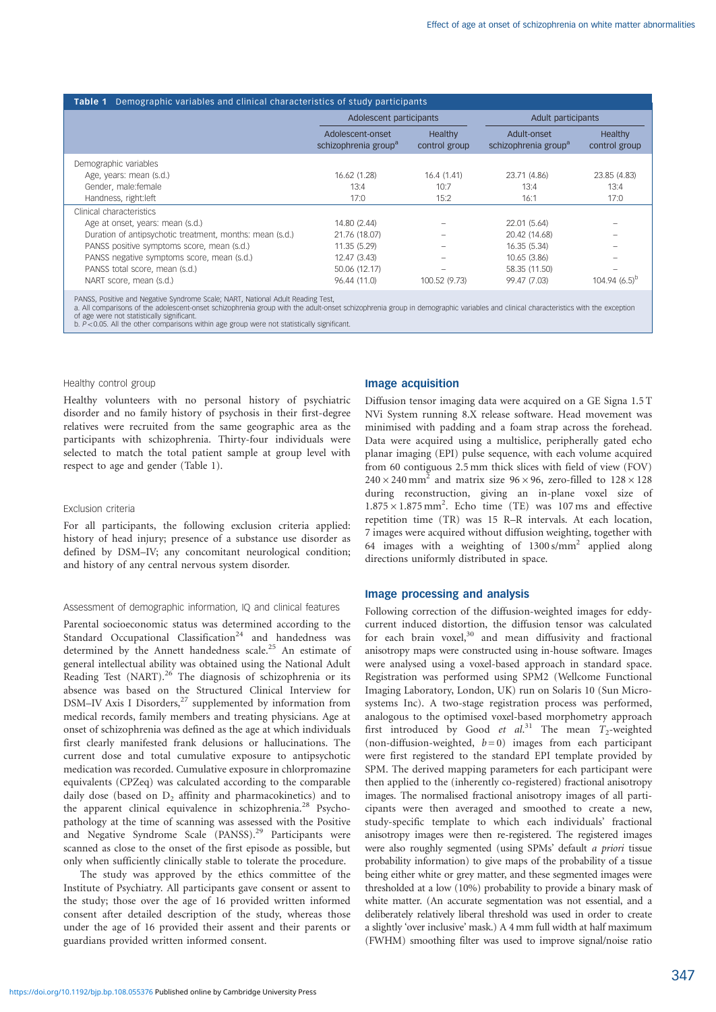| Demographic variables and clinical characteristics of study participants<br>Table 1 |                                                      |                          |                                                 |                          |  |  |  |
|-------------------------------------------------------------------------------------|------------------------------------------------------|--------------------------|-------------------------------------------------|--------------------------|--|--|--|
|                                                                                     | Adolescent participants                              |                          | Adult participants                              |                          |  |  |  |
|                                                                                     | Adolescent-onset<br>schizophrenia group <sup>a</sup> | Healthy<br>control group | Adult-onset<br>schizophrenia group <sup>a</sup> | Healthy<br>control group |  |  |  |
| Demographic variables                                                               |                                                      |                          |                                                 |                          |  |  |  |
| Age, years: mean (s.d.)                                                             | 16.62 (1.28)                                         | 16.4(1.41)               | 23.71 (4.86)                                    | 23.85 (4.83)             |  |  |  |
| Gender, male: female                                                                | 13:4                                                 | 10:7                     | 13:4                                            | 13:4                     |  |  |  |
| Handness, right:left                                                                | 17:0                                                 | 15:2                     | 16:1                                            | 17:0                     |  |  |  |
| Clinical characteristics                                                            |                                                      |                          |                                                 |                          |  |  |  |
| Age at onset, years: mean (s.d.)                                                    | 14.80 (2.44)                                         |                          | 22.01 (5.64)                                    |                          |  |  |  |
| Duration of antipsychotic treatment, months: mean (s.d.)                            | 21.76 (18.07)                                        |                          | 20.42 (14.68)                                   |                          |  |  |  |
| PANSS positive symptoms score, mean (s.d.)                                          | 11.35 (5.29)                                         |                          | 16.35 (5.34)                                    |                          |  |  |  |
| PANSS negative symptoms score, mean (s.d.)                                          | 12.47 (3.43)                                         |                          | 10.65 (3.86)                                    |                          |  |  |  |
| PANSS total score, mean (s.d.)                                                      | 50.06 (12.17)                                        |                          | 58.35 (11.50)                                   |                          |  |  |  |
| NART score, mean (s.d.)                                                             | 96.44 (11.0)                                         | 100.52 (9.73)            | 99.47 (7.03)                                    | $104.94~(6.5)^{D}$       |  |  |  |
| PANSS. Positive and Negative Syndrome Scale: NART. National Adult Reading Test.     |                                                      |                          |                                                 |                          |  |  |  |

PANSS, Positive and Negative Syndrome Scale; NART, National Adult Reading Test,<br>a. All comparisons of the adolescent-onset schizophrenia group with the adult-onset schizophrenia group in demographic variables and clinical of age were not statistically significant.<br>b. P<0.05. All the other comparisons within age group were not statistically significant.

#### Healthy control group

Healthy volunteers with no personal history of psychiatric disorder and no family history of psychosis in their first-degree relatives were recruited from the same geographic area as the participants with schizophrenia. Thirty-four individuals were selected to match the total patient sample at group level with respect to age and gender (Table 1).

## Exclusion criteria

For all participants, the following exclusion criteria applied: history of head injury; presence of a substance use disorder as defined by DSM–IV; any concomitant neurological condition; and history of any central nervous system disorder.

#### Assessment of demographic information, IQ and clinical features

Parental socioeconomic status was determined according to the Standard Occupational Classification<sup>24</sup> and handedness was determined by the Annett handedness scale.<sup>25</sup> An estimate of general intellectual ability was obtained using the National Adult Reading Test (NART).<sup>26</sup> The diagnosis of schizophrenia or its absence was based on the Structured Clinical Interview for  $DSM-IV$  Axis I Disorders,<sup>27</sup> supplemented by information from medical records, family members and treating physicians. Age at onset of schizophrenia was defined as the age at which individuals first clearly manifested frank delusions or hallucinations. The current dose and total cumulative exposure to antipsychotic medication was recorded. Cumulative exposure in chlorpromazine equivalents (CPZeq) was calculated according to the comparable daily dose (based on  $D_2$  affinity and pharmacokinetics) and to the apparent clinical equivalence in schizophrenia.<sup>28</sup> Psychopathology at the time of scanning was assessed with the Positive and Negative Syndrome Scale (PANSS).<sup>29</sup> Participants were scanned as close to the onset of the first episode as possible, but only when sufficiently clinically stable to tolerate the procedure.

The study was approved by the ethics committee of the Institute of Psychiatry. All participants gave consent or assent to the study; those over the age of 16 provided written informed consent after detailed description of the study, whereas those under the age of 16 provided their assent and their parents or guardians provided written informed consent.

#### Image acquisition

Diffusion tensor imaging data were acquired on a GE Signa 1.5 T NVi System running 8.X release software. Head movement was minimised with padding and a foam strap across the forehead. Data were acquired using a multislice, peripherally gated echo planar imaging (EPI) pulse sequence, with each volume acquired from 60 contiguous 2.5 mm thick slices with field of view (FOV)  $240 \times 240$  mm<sup>2</sup> and matrix size 96  $\times$  96, zero-filled to  $128 \times 128$ during reconstruction, giving an in-plane voxel size of  $1.875 \times 1.875$  mm<sup>2</sup>. Echo time (TE) was 107 ms and effective repetition time (TR) was 15 R–R intervals. At each location, 7 images were acquired without diffusion weighting, together with 64 images with a weighting of 1300 s/mm<sup>2</sup> applied along directions uniformly distributed in space.

## Image processing and analysis

Following correction of the diffusion-weighted images for eddycurrent induced distortion, the diffusion tensor was calculated for each brain voxel, $30$  and mean diffusivity and fractional anisotropy maps were constructed using in-house software. Images were analysed using a voxel-based approach in standard space. Registration was performed using SPM2 (Wellcome Functional Imaging Laboratory, London, UK) run on Solaris 10 (Sun Microsystems Inc). A two-stage registration process was performed, analogous to the optimised voxel-based morphometry approach first introduced by Good et al.<sup>31</sup> The mean  $T_2$ -weighted (non-diffusion-weighted,  $b=0$ ) images from each participant were first registered to the standard EPI template provided by SPM. The derived mapping parameters for each participant were then applied to the (inherently co-registered) fractional anisotropy images. The normalised fractional anisotropy images of all participants were then averaged and smoothed to create a new, study-specific template to which each individuals' fractional anisotropy images were then re-registered. The registered images were also roughly segmented (using SPMs' default a priori tissue probability information) to give maps of the probability of a tissue being either white or grey matter, and these segmented images were thresholded at a low (10%) probability to provide a binary mask of white matter. (An accurate segmentation was not essential, and a deliberately relatively liberal threshold was used in order to create a slightly 'over inclusive' mask.) A 4 mm full width at half maximum (FWHM) smoothing filter was used to improve signal/noise ratio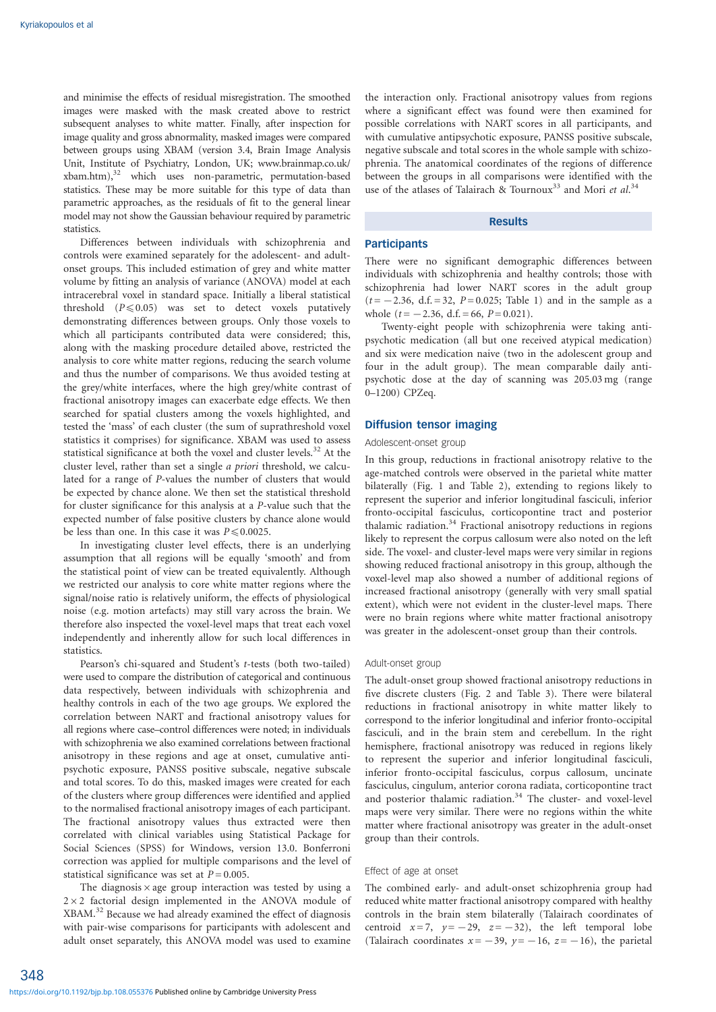and minimise the effects of residual misregistration. The smoothed images were masked with the mask created above to restrict subsequent analyses to white matter. Finally, after inspection for image quality and gross abnormality, masked images were compared between groups using XBAM (version 3.4, Brain Image Analysis Unit, Institute of Psychiatry, London, UK; www.brainmap.co.uk/ xbam.htm),<sup>32</sup> which uses non-parametric, permutation-based statistics. These may be more suitable for this type of data than parametric approaches, as the residuals of fit to the general linear model may not show the Gaussian behaviour required by parametric statistics.

Differences between individuals with schizophrenia and controls were examined separately for the adolescent- and adultonset groups. This included estimation of grey and white matter volume by fitting an analysis of variance (ANOVA) model at each intracerebral voxel in standard space. Initially a liberal statistical threshold  $(P \le 0.05)$  was set to detect voxels putatively demonstrating differences between groups. Only those voxels to which all participants contributed data were considered; this, along with the masking procedure detailed above, restricted the analysis to core white matter regions, reducing the search volume and thus the number of comparisons. We thus avoided testing at the grey/white interfaces, where the high grey/white contrast of fractional anisotropy images can exacerbate edge effects. We then searched for spatial clusters among the voxels highlighted, and tested the 'mass' of each cluster (the sum of suprathreshold voxel statistics it comprises) for significance. XBAM was used to assess statistical significance at both the voxel and cluster levels.<sup>32</sup> At the cluster level, rather than set a single a priori threshold, we calculated for a range of P-values the number of clusters that would be expected by chance alone. We then set the statistical threshold for cluster significance for this analysis at a P-value such that the expected number of false positive clusters by chance alone would be less than one. In this case it was  $P \le 0.0025$ .

In investigating cluster level effects, there is an underlying assumption that all regions will be equally 'smooth' and from the statistical point of view can be treated equivalently. Although we restricted our analysis to core white matter regions where the signal/noise ratio is relatively uniform, the effects of physiological noise (e.g. motion artefacts) may still vary across the brain. We therefore also inspected the voxel-level maps that treat each voxel independently and inherently allow for such local differences in statistics.

Pearson's chi-squared and Student's t-tests (both two-tailed) were used to compare the distribution of categorical and continuous data respectively, between individuals with schizophrenia and healthy controls in each of the two age groups. We explored the correlation between NART and fractional anisotropy values for all regions where case–control differences were noted; in individuals with schizophrenia we also examined correlations between fractional anisotropy in these regions and age at onset, cumulative antipsychotic exposure, PANSS positive subscale, negative subscale and total scores. To do this, masked images were created for each of the clusters where group differences were identified and applied to the normalised fractional anisotropy images of each participant. The fractional anisotropy values thus extracted were then correlated with clinical variables using Statistical Package for Social Sciences (SPSS) for Windows, version 13.0. Bonferroni correction was applied for multiple comparisons and the level of statistical significance was set at  $P = 0.005$ .

The diagnosis $\times$  age group interaction was tested by using a  $2\times2$  factorial design implemented in the ANOVA module of XBAM.<sup>32</sup> Because we had already examined the effect of diagnosis with pair-wise comparisons for participants with adolescent and adult onset separately, this ANOVA model was used to examine

the interaction only. Fractional anisotropy values from regions where a significant effect was found were then examined for possible correlations with NART scores in all participants, and with cumulative antipsychotic exposure, PANSS positive subscale, negative subscale and total scores in the whole sample with schizophrenia. The anatomical coordinates of the regions of difference between the groups in all comparisons were identified with the use of the atlases of Talairach & Tournoux<sup>33</sup> and Mori et al.<sup>34</sup>

## Results

## **Participants**

There were no significant demographic differences between individuals with schizophrenia and healthy controls; those with schizophrenia had lower NART scores in the adult group  $(t = -2.36, d.f. = 32, P = 0.025;$  Table 1) and in the sample as a whole  $(t = -2.36, d.f. = 66, P = 0.021)$ .

Twenty-eight people with schizophrenia were taking antipsychotic medication (all but one received atypical medication) and six were medication naive (two in the adolescent group and four in the adult group). The mean comparable daily antipsychotic dose at the day of scanning was 205.03 mg (range 0–1200) CPZeq.

## Diffusion tensor imaging

## Adolescent-onset group

In this group, reductions in fractional anisotropy relative to the age-matched controls were observed in the parietal white matter bilaterally (Fig. 1 and Table 2), extending to regions likely to represent the superior and inferior longitudinal fasciculi, inferior fronto-occipital fasciculus, corticopontine tract and posterior thalamic radiation.<sup>34</sup> Fractional anisotropy reductions in regions likely to represent the corpus callosum were also noted on the left side. The voxel- and cluster-level maps were very similar in regions showing reduced fractional anisotropy in this group, although the voxel-level map also showed a number of additional regions of increased fractional anisotropy (generally with very small spatial extent), which were not evident in the cluster-level maps. There were no brain regions where white matter fractional anisotropy was greater in the adolescent-onset group than their controls.

#### Adult-onset group

The adult-onset group showed fractional anisotropy reductions in five discrete clusters (Fig. 2 and Table 3). There were bilateral reductions in fractional anisotropy in white matter likely to correspond to the inferior longitudinal and inferior fronto-occipital fasciculi, and in the brain stem and cerebellum. In the right hemisphere, fractional anisotropy was reduced in regions likely to represent the superior and inferior longitudinal fasciculi, inferior fronto-occipital fasciculus, corpus callosum, uncinate fasciculus, cingulum, anterior corona radiata, corticopontine tract and posterior thalamic radiation.<sup>34</sup> The cluster- and voxel-level maps were very similar. There were no regions within the white matter where fractional anisotropy was greater in the adult-onset group than their controls.

#### Effect of age at onset

The combined early- and adult-onset schizophrenia group had reduced white matter fractional anisotropy compared with healthy controls in the brain stem bilaterally (Talairach coordinates of centroid  $x=7$ ,  $y=-29$ ,  $z=-32$ ), the left temporal lobe (Talairach coordinates  $x = -39$ ,  $y = -16$ ,  $z = -16$ ), the parietal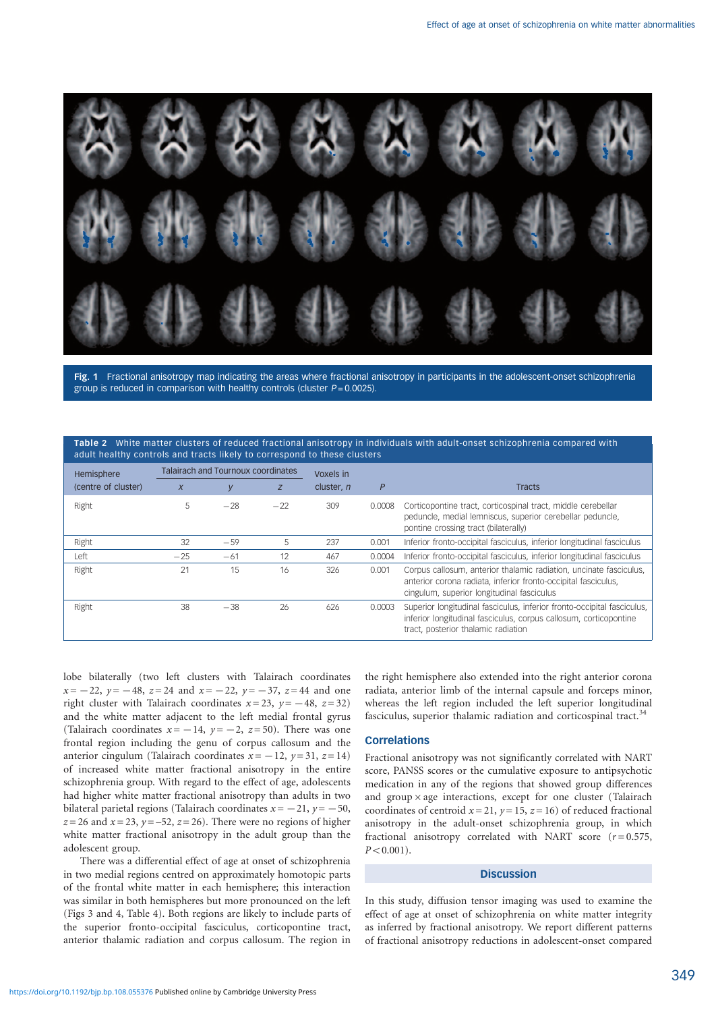

Fig. 1 Fractional anisotropy map indicating the areas where fractional anisotropy in participants in the adolescent-onset schizophrenia group is reduced in comparison with healthy controls (cluster  $P = 0.0025$ ).

Table 2 White matter clusters of reduced fractional anisotropy in individuals with adult-onset schizophrenia compared with adult healthy controls and tracts likely to correspond to these clusters

| Hemisphere          | <b>Talairach and Tournoux coordinates</b> |       | Voxels in |              |        |                                                                                                                                                                                     |
|---------------------|-------------------------------------------|-------|-----------|--------------|--------|-------------------------------------------------------------------------------------------------------------------------------------------------------------------------------------|
| (centre of cluster) | $\boldsymbol{X}$                          |       | Z         | cluster, $n$ | P      | <b>Tracts</b>                                                                                                                                                                       |
| Right               | 5                                         | $-28$ | $-22$     | 309          | 0.0008 | Corticopontine tract, corticospinal tract, middle cerebellar<br>peduncle, medial lemniscus, superior cerebellar peduncle,<br>pontine crossing tract (bilaterally)                   |
| Right               | 32                                        | $-59$ | 5         | 237          | 0.001  | Inferior fronto-occipital fasciculus, inferior longitudinal fasciculus                                                                                                              |
| Left                | $-25$                                     | $-61$ | 12        | 467          | 0.0004 | Inferior fronto-occipital fasciculus, inferior longitudinal fasciculus                                                                                                              |
| Right               | 21                                        | 15    | 16        | 326          | 0.001  | Corpus callosum, anterior thalamic radiation, uncinate fasciculus,<br>anterior corona radiata, inferior fronto-occipital fasciculus,<br>cingulum, superior longitudinal fasciculus  |
| Right               | 38                                        | $-38$ | 26        | 626          | 0.0003 | Superior longitudinal fasciculus, inferior fronto-occipital fasciculus,<br>inferior longitudinal fasciculus, corpus callosum, corticopontine<br>tract, posterior thalamic radiation |

lobe bilaterally (two left clusters with Talairach coordinates  $x = -22$ ,  $y = -48$ ,  $z = 24$  and  $x = -22$ ,  $y = -37$ ,  $z = 44$  and one right cluster with Talairach coordinates  $x = 23$ ,  $y = -48$ ,  $z = 32$ ) and the white matter adjacent to the left medial frontal gyrus (Talairach coordinates  $x = -14$ ,  $y = -2$ ,  $z = 50$ ). There was one frontal region including the genu of corpus callosum and the anterior cingulum (Talairach coordinates  $x = -12$ ,  $y = 31$ ,  $z = 14$ ) of increased white matter fractional anisotropy in the entire schizophrenia group. With regard to the effect of age, adolescents had higher white matter fractional anisotropy than adults in two bilateral parietal regions (Talairach coordinates  $x = -21$ ,  $y = -50$ ,  $z = 26$  and  $x = 23$ ,  $y = -52$ ,  $z = 26$ ). There were no regions of higher white matter fractional anisotropy in the adult group than the adolescent group.

There was a differential effect of age at onset of schizophrenia in two medial regions centred on approximately homotopic parts of the frontal white matter in each hemisphere; this interaction was similar in both hemispheres but more pronounced on the left (Figs 3 and 4, Table 4). Both regions are likely to include parts of the superior fronto-occipital fasciculus, corticopontine tract, anterior thalamic radiation and corpus callosum. The region in

the right hemisphere also extended into the right anterior corona radiata, anterior limb of the internal capsule and forceps minor, whereas the left region included the left superior longitudinal fasciculus, superior thalamic radiation and corticospinal tract.<sup>34</sup>

## Correlations

Fractional anisotropy was not significantly correlated with NART score, PANSS scores or the cumulative exposure to antipsychotic medication in any of the regions that showed group differences and group  $\times$  age interactions, except for one cluster (Talairach coordinates of centroid  $x = 21$ ,  $y = 15$ ,  $z = 16$ ) of reduced fractional anisotropy in the adult-onset schizophrenia group, in which fractional anisotropy correlated with NART score  $(r=0.575,$  $P < 0.001$ ).

## **Discussion**

In this study, diffusion tensor imaging was used to examine the effect of age at onset of schizophrenia on white matter integrity as inferred by fractional anisotropy. We report different patterns of fractional anisotropy reductions in adolescent-onset compared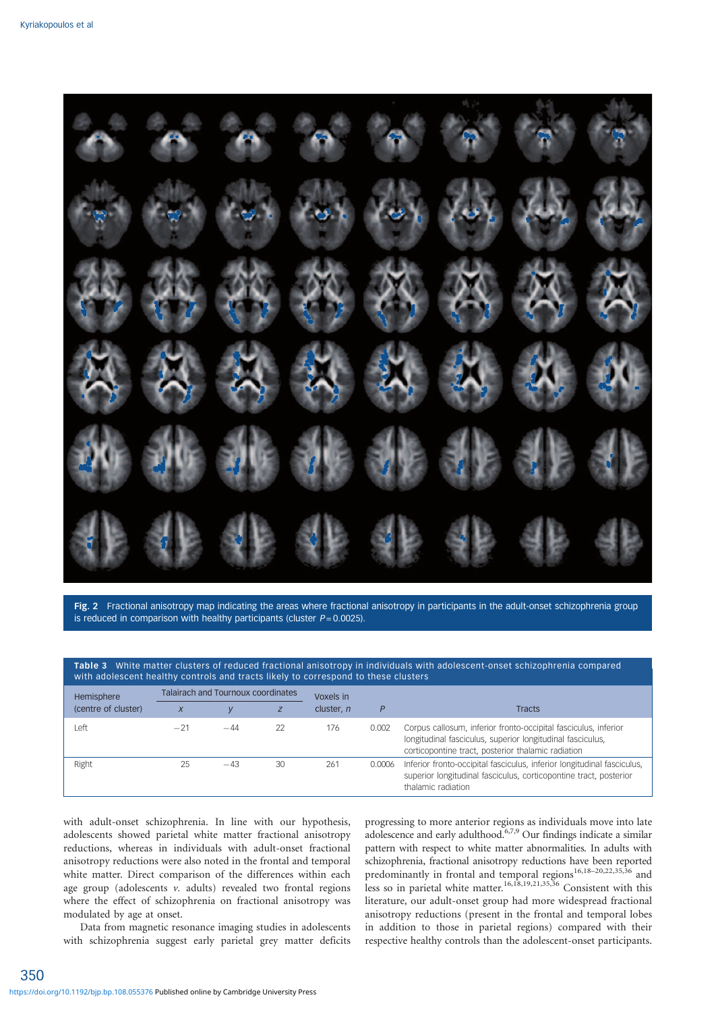

Fig. 2 Fractional anisotropy map indicating the areas where fractional anisotropy in participants in the adult-onset schizophrenia group is reduced in comparison with healthy participants (cluster  $P = 0.0025$ ).

| <b>Table 3</b> White matter clusters of reduced fractional anisotropy in individuals with adolescent-onset schizophrenia compared<br>with adolescent healthy controls and tracts likely to correspond to these clusters |                                           |       |           |            |        |                                                                                                                                                                                     |
|-------------------------------------------------------------------------------------------------------------------------------------------------------------------------------------------------------------------------|-------------------------------------------|-------|-----------|------------|--------|-------------------------------------------------------------------------------------------------------------------------------------------------------------------------------------|
| Hemisphere                                                                                                                                                                                                              | <b>Talairach and Tournoux coordinates</b> |       | Voxels in |            |        |                                                                                                                                                                                     |
| (centre of cluster)                                                                                                                                                                                                     | $\overline{X}$                            |       |           | cluster, n | P      | <b>Tracts</b>                                                                                                                                                                       |
| Left                                                                                                                                                                                                                    | $-21$                                     | $-44$ | 22        | 176        | 0.002  | Corpus callosum, inferior fronto-occipital fasciculus, inferior<br>longitudinal fasciculus, superior longitudinal fasciculus,<br>corticopontine tract, posterior thalamic radiation |
| Right                                                                                                                                                                                                                   | 25                                        | $-43$ | 30        | 261        | 0.0006 | Inferior fronto-occipital fasciculus, inferior longitudinal fasciculus,<br>superior longitudinal fasciculus, corticopontine tract, posterior<br>thalamic radiation                  |

with adult-onset schizophrenia. In line with our hypothesis, adolescents showed parietal white matter fractional anisotropy reductions, whereas in individuals with adult-onset fractional anisotropy reductions were also noted in the frontal and temporal white matter. Direct comparison of the differences within each age group (adolescents  $v$ . adults) revealed two frontal regions where the effect of schizophrenia on fractional anisotropy was modulated by age at onset.

Data from magnetic resonance imaging studies in adolescents with schizophrenia suggest early parietal grey matter deficits

progressing to more anterior regions as individuals move into late adolescence and early adulthood. $6,7,9$  Our findings indicate a similar pattern with respect to white matter abnormalities. In adults with schizophrenia, fractional anisotropy reductions have been reported predominantly in frontal and temporal regions<sup>16,18–20,22,35,36</sup> and less so in parietal white matter.<sup>16,18,19,21,35,36</sup> Consistent with this literature, our adult-onset group had more widespread fractional anisotropy reductions (present in the frontal and temporal lobes in addition to those in parietal regions) compared with their respective healthy controls than the adolescent-onset participants.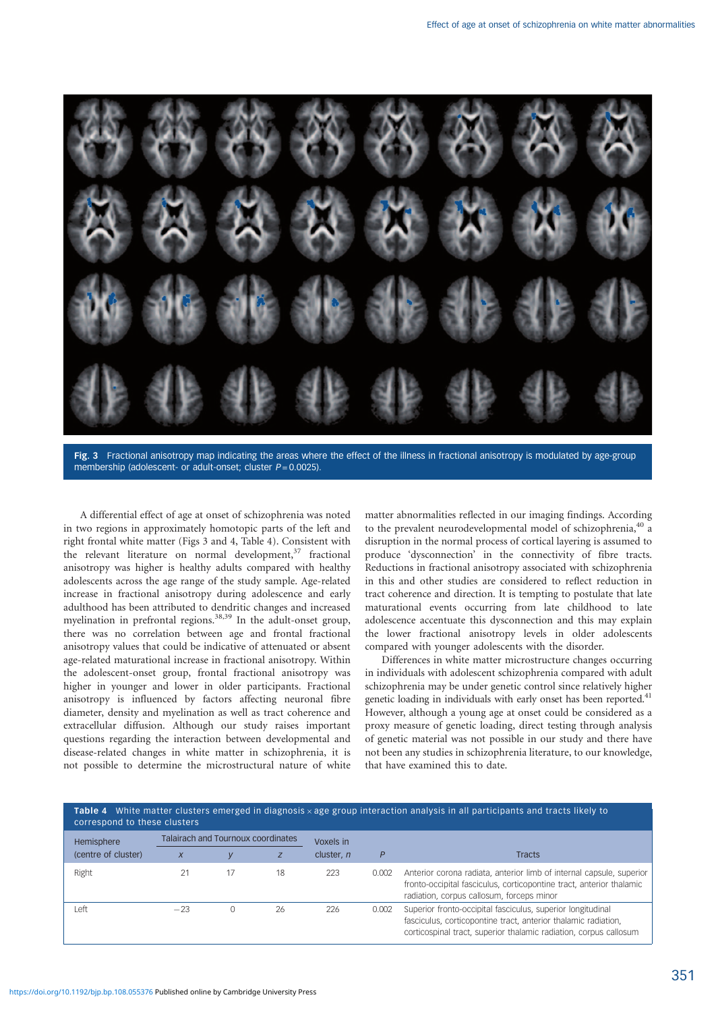

Fig. 3 Fractional anisotropy map indicating the areas where the effect of the illness in fractional anisotropy is modulated by age-group membership (adolescent- or adult-onset; cluster  $P = 0.0025$ ).

A differential effect of age at onset of schizophrenia was noted in two regions in approximately homotopic parts of the left and right frontal white matter (Figs 3 and 4, Table 4). Consistent with the relevant literature on normal development,<sup>37</sup> fractional anisotropy was higher is healthy adults compared with healthy adolescents across the age range of the study sample. Age-related increase in fractional anisotropy during adolescence and early adulthood has been attributed to dendritic changes and increased myelination in prefrontal regions.<sup>38,39</sup> In the adult-onset group, there was no correlation between age and frontal fractional anisotropy values that could be indicative of attenuated or absent age-related maturational increase in fractional anisotropy. Within the adolescent-onset group, frontal fractional anisotropy was higher in younger and lower in older participants. Fractional anisotropy is influenced by factors affecting neuronal fibre diameter, density and myelination as well as tract coherence and extracellular diffusion. Although our study raises important questions regarding the interaction between developmental and disease-related changes in white matter in schizophrenia, it is not possible to determine the microstructural nature of white matter abnormalities reflected in our imaging findings. According to the prevalent neurodevelopmental model of schizophrenia,<sup>40</sup> a disruption in the normal process of cortical layering is assumed to produce 'dysconnection' in the connectivity of fibre tracts. Reductions in fractional anisotropy associated with schizophrenia in this and other studies are considered to reflect reduction in tract coherence and direction. It is tempting to postulate that late maturational events occurring from late childhood to late adolescence accentuate this dysconnection and this may explain the lower fractional anisotropy levels in older adolescents compared with younger adolescents with the disorder.

Differences in white matter microstructure changes occurring in individuals with adolescent schizophrenia compared with adult schizophrenia may be under genetic control since relatively higher genetic loading in individuals with early onset has been reported.<sup>41</sup> However, although a young age at onset could be considered as a proxy measure of genetic loading, direct testing through analysis of genetic material was not possible in our study and there have not been any studies in schizophrenia literature, to our knowledge, that have examined this to date.

| Table 4 White matter clusters emerged in diagnosis $\times$ age group interaction analysis in all participants and tracts likely to<br>correspond to these clusters |                                    |    |           |            |       |                                                                                                                                                                                                    |  |
|---------------------------------------------------------------------------------------------------------------------------------------------------------------------|------------------------------------|----|-----------|------------|-------|----------------------------------------------------------------------------------------------------------------------------------------------------------------------------------------------------|--|
| Hemisphere                                                                                                                                                          | Talairach and Tournoux coordinates |    | Voxels in |            |       |                                                                                                                                                                                                    |  |
| (centre of cluster)                                                                                                                                                 | $\boldsymbol{X}$                   |    | Z         | cluster, n | P     | <b>Tracts</b>                                                                                                                                                                                      |  |
| Right                                                                                                                                                               |                                    | 17 | 18        | 223        | 0.002 | Anterior corona radiata, anterior limb of internal capsule, superior<br>fronto-occipital fasciculus, corticopontine tract, anterior thalamic<br>radiation, corpus callosum, forceps minor          |  |
| Left                                                                                                                                                                | $-23$                              | 0  | 26        | 226        | 0.002 | Superior fronto-occipital fasciculus, superior longitudinal<br>fasciculus, corticopontine tract, anterior thalamic radiation,<br>corticospinal tract, superior thalamic radiation, corpus callosum |  |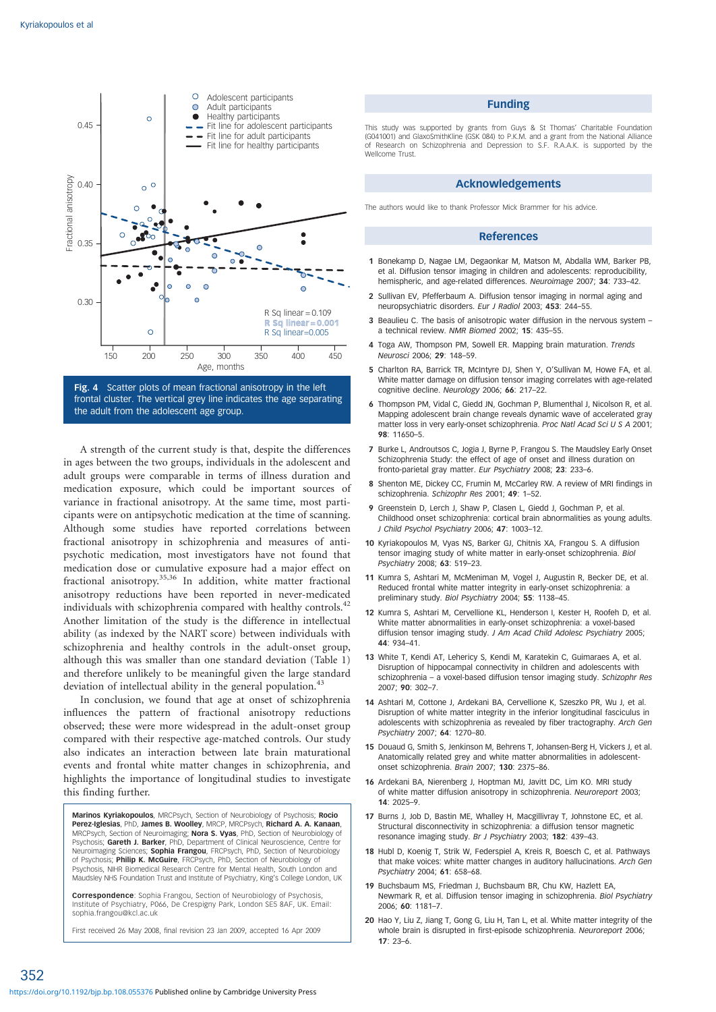

frontal cluster. The vertical grey line indicates the age separating the adult from the adolescent age group.

A strength of the current study is that, despite the differences in ages between the two groups, individuals in the adolescent and adult groups were comparable in terms of illness duration and medication exposure, which could be important sources of variance in fractional anisotropy. At the same time, most participants were on antipsychotic medication at the time of scanning. Although some studies have reported correlations between fractional anisotropy in schizophrenia and measures of antipsychotic medication, most investigators have not found that medication dose or cumulative exposure had a major effect on fractional anisotropy.<sup>35,36</sup> In addition, white matter fractional anisotropy reductions have been reported in never-medicated individuals with schizophrenia compared with healthy controls. $42$ Another limitation of the study is the difference in intellectual ability (as indexed by the NART score) between individuals with schizophrenia and healthy controls in the adult-onset group, although this was smaller than one standard deviation (Table 1) and therefore unlikely to be meaningful given the large standard deviation of intellectual ability in the general population.<sup>43</sup>

In conclusion, we found that age at onset of schizophrenia influences the pattern of fractional anisotropy reductions observed; these were more widespread in the adult-onset group compared with their respective age-matched controls. Our study also indicates an interaction between late brain maturational events and frontal white matter changes in schizophrenia, and highlights the importance of longitudinal studies to investigate this finding further.

Marinos Kyriakopoulos, MRCPsych, Section of Neurobiology of Psychosis; Rocio Perez-Iglesias, PhD, James B. Woolley, MRCP, MRCPsych, Richard A. A. Kanaan MRCPsych, Section of Neuroimaging; Nora S. Vyas, PhD, Section of Neurobiology of Psychosis; Gareth J. Barker, PhD, Department of Clinical Neuroscience, Centre for Neuroimaging Sciences; **Sophia Frangou**, FRCPsych, PhD, Section of Neurobiology<br>of Psychosis; **Philip K. McGuire**, FRCPsych, PhD, Section of Neurobiology of Psychosis, NIHR Biomedical Research Centre for Mental Health, South London and Maudsley NHS Foundation Trust and Institute of Psychiatry, King's College London, UK

**Correspondence**: Sophia Frangou, Section of Neurobiology of Psychosis,<br>Institute of Psychiatry, P066, De Crespigny Park, London SE5 8AF, UK. Email: sophia.frangou@kcl.ac.uk

First received 26 May 2008, final revision 23 Jan 2009, accepted 16 Apr 2009

#### Funding

This study was supported by grants from Guys & St Thomas' Charitable Foundation (G041001) and GlaxoSmithKline (GSK 084) to P.K.M. and a grant from the National Alliance of Research on Schizophrenia and Depression to S.F. R.A.A.K. is supported by the Wellcome Trust.

## Acknowledgements

The authors would like to thank Professor Mick Brammer for his advice.

## References

- 1 Bonekamp D, Nagae LM, Degaonkar M, Matson M, Abdalla WM, Barker PB, et al. Diffusion tensor imaging in children and adolescents: reproducibility, hemispheric, and age-related differences. Neuroimage 2007; 34: 733–42.
- 2 Sullivan EV, Pfefferbaum A. Diffusion tensor imaging in normal aging and neuropsychiatric disorders. Eur J Radiol 2003; 453: 244–55.
- 3 Beaulieu C. The basis of anisotropic water diffusion in the nervous system a technical review. NMR Biomed 2002; 15: 435–55.
- 4 Toga AW, Thompson PM, Sowell ER. Mapping brain maturation. Trends Neurosci 2006; 29: 148–59.
- 5 Charlton RA, Barrick TR, McIntyre DJ, Shen Y, O'Sullivan M, Howe FA, et al. White matter damage on diffusion tensor imaging correlates with age-related cognitive decline. Neurology 2006; 66: 217–22.
- 6 Thompson PM, Vidal C, Giedd JN, Gochman P, Blumenthal J, Nicolson R, et al. Mapping adolescent brain change reveals dynamic wave of accelerated gray matter loss in very early-onset schizophrenia. Proc Natl Acad Sci U S A 2001; 98: 11650–5.
- 7 Burke L, Androutsos C, Jogia J, Byrne P, Frangou S. The Maudsley Early Onset Schizophrenia Study: the effect of age of onset and illness duration on fronto-parietal gray matter. Eur Psychiatry 2008; 23: 233–6.
- 8 Shenton ME, Dickey CC, Frumin M, McCarley RW. A review of MRI findings in schizophrenia. Schizophr Res 2001; 49: 1–52.
- 9 Greenstein D, Lerch J, Shaw P, Clasen L, Giedd J, Gochman P, et al. Childhood onset schizophrenia: cortical brain abnormalities as young adults. J Child Psychol Psychiatry 2006; 47: 1003–12.
- 10 Kyriakopoulos M, Vyas NS, Barker GJ, Chitnis XA, Frangou S. A diffusion tensor imaging study of white matter in early-onset schizophrenia. Biol Psychiatry 2008; 63: 519–23.
- 11 Kumra S, Ashtari M, McMeniman M, Vogel J, Augustin R, Becker DE, et al. Reduced frontal white matter integrity in early-onset schizophrenia: a preliminary study. Biol Psychiatry 2004; 55: 1138–45.
- 12 Kumra S, Ashtari M, Cervellione KL, Henderson I, Kester H, Roofeh D, et al. White matter abnormalities in early-onset schizophrenia: a voxel-based diffusion tensor imaging study. J Am Acad Child Adolesc Psychiatry 2005; 44: 934–41.
- 13 White T, Kendi AT, Lehericy S, Kendi M, Karatekin C, Guimaraes A, et al. Disruption of hippocampal connectivity in children and adolescents with schizophrenia – a voxel-based diffusion tensor imaging study. Schizophr Res 2007; 90: 302–7.
- 14 Ashtari M, Cottone J, Ardekani BA, Cervellione K, Szeszko PR, Wu J, et al. Disruption of white matter integrity in the inferior longitudinal fasciculus in adolescents with schizophrenia as revealed by fiber tractography. Arch Gen Psychiatry 2007; 64: 1270–80.
- 15 Douaud G, Smith S, Jenkinson M, Behrens T, Johansen-Berg H, Vickers J, et al. Anatomically related grey and white matter abnormalities in adolescentonset schizophrenia. Brain 2007; 130: 2375–86.
- 16 Ardekani BA, Nierenberg J, Hoptman MJ, Javitt DC, Lim KO. MRI study of white matter diffusion anisotropy in schizophrenia. Neuroreport 2003;  $14: 2025 - 9$
- 17 Burns J, Job D, Bastin ME, Whalley H, Macgillivray T, Johnstone EC, et al. Structural disconnectivity in schizophrenia: a diffusion tensor magnetic resonance imaging study. Br J Psychiatry 2003; 182: 439–43.
- 18 Hubl D, Koenig T, Strik W, Federspiel A, Kreis R, Boesch C, et al. Pathways that make voices: white matter changes in auditory hallucinations. Arch Gen Psychiatry 2004; 61: 658–68.
- 19 Buchsbaum MS, Friedman J, Buchsbaum BR, Chu KW, Hazlett EA, Newmark R, et al. Diffusion tensor imaging in schizophrenia. Biol Psychiatry 2006; 60: 1181–7.
- 20 Hao Y, Liu Z, Jiang T, Gong G, Liu H, Tan L, et al. White matter integrity of the whole brain is disrupted in first-episode schizophrenia. Neuroreport 2006; 17: 23–6.

352